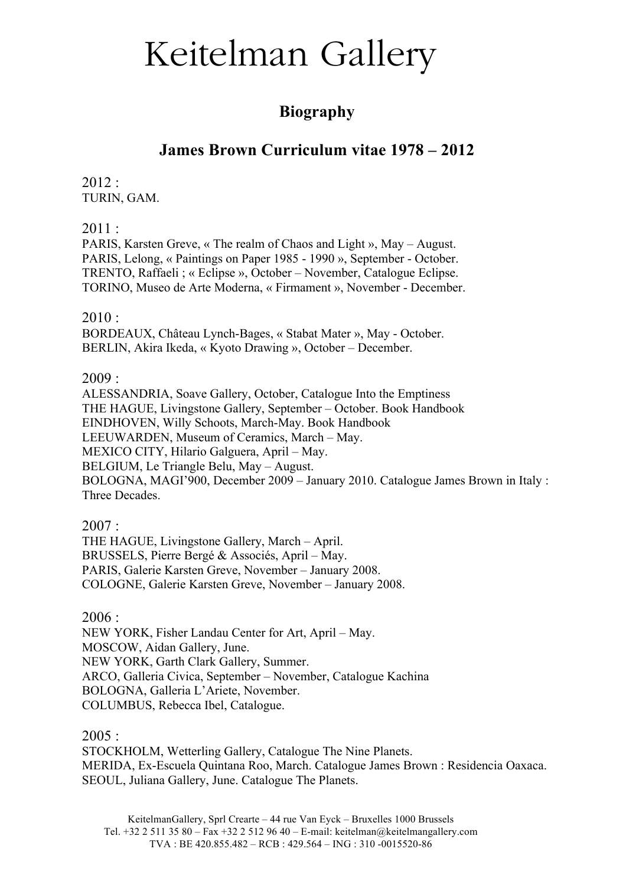### **Biography**

### **James Brown Curriculum vitae 1978 – 2012**

2012 : TURIN, GAM.

2011 :

PARIS, Karsten Greve, « The realm of Chaos and Light », May – August. PARIS, Lelong, « Paintings on Paper 1985 - 1990 », September - October. TRENTO, Raffaeli ; « Eclipse », October – November, Catalogue Eclipse. TORINO, Museo de Arte Moderna, « Firmament », November - December.

 $2010:$ 

BORDEAUX, Château Lynch-Bages, « Stabat Mater », May - October. BERLIN, Akira Ikeda, « Kyoto Drawing », October – December.

2009 :

ALESSANDRIA, Soave Gallery, October, Catalogue Into the Emptiness THE HAGUE, Livingstone Gallery, September – October. Book Handbook EINDHOVEN, Willy Schoots, March-May. Book Handbook LEEUWARDEN, Museum of Ceramics, March – May. MEXICO CITY, Hilario Galguera, April – May. BELGIUM, Le Triangle Belu, May – August. BOLOGNA, MAGI'900, December 2009 – January 2010. Catalogue James Brown in Italy : Three Decades.

 $2007:$ 

THE HAGUE, Livingstone Gallery, March – April. BRUSSELS, Pierre Bergé & Associés, April – May. PARIS, Galerie Karsten Greve, November – January 2008. COLOGNE, Galerie Karsten Greve, November – January 2008.

 $2006 -$ 

NEW YORK, Fisher Landau Center for Art, April – May. MOSCOW, Aidan Gallery, June. NEW YORK, Garth Clark Gallery, Summer. ARCO, Galleria Civica, September – November, Catalogue Kachina BOLOGNA, Galleria L'Ariete, November. COLUMBUS, Rebecca Ibel, Catalogue.

 $2005:$ 

STOCKHOLM, Wetterling Gallery, Catalogue The Nine Planets. MERIDA, Ex-Escuela Quintana Roo, March. Catalogue James Brown : Residencia Oaxaca. SEOUL, Juliana Gallery, June. Catalogue The Planets.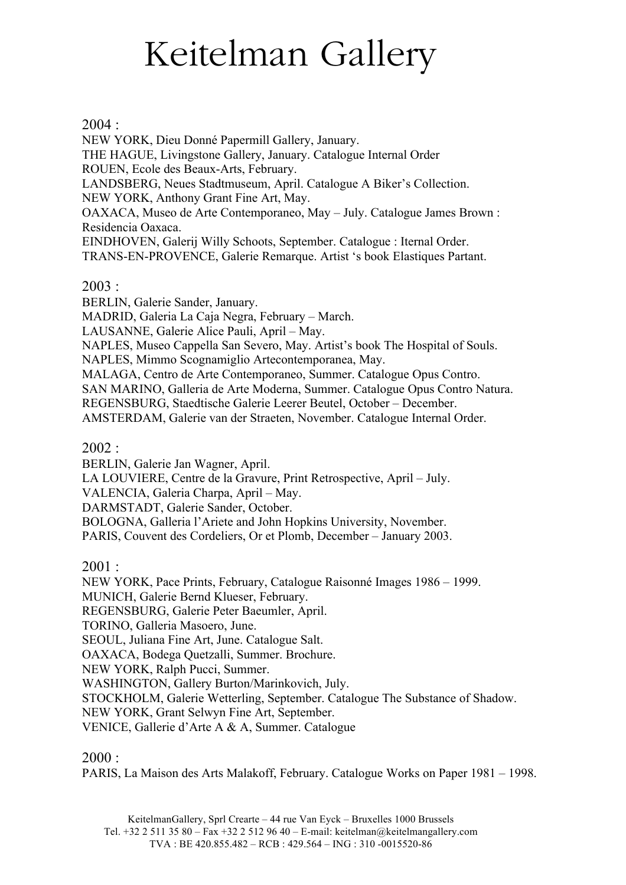### $2004 -$

NEW YORK, Dieu Donné Papermill Gallery, January. THE HAGUE, Livingstone Gallery, January. Catalogue Internal Order ROUEN, Ecole des Beaux-Arts, February. LANDSBERG, Neues Stadtmuseum, April. Catalogue A Biker's Collection. NEW YORK, Anthony Grant Fine Art, May. OAXACA, Museo de Arte Contemporaneo, May – July. Catalogue James Brown : Residencia Oaxaca. EINDHOVEN, Galerij Willy Schoots, September. Catalogue : Iternal Order. TRANS-EN-PROVENCE, Galerie Remarque. Artist 's book Elastiques Partant.

### 2003 :

BERLIN, Galerie Sander, January.

MADRID, Galeria La Caja Negra, February – March.

LAUSANNE, Galerie Alice Pauli, April – May.

NAPLES, Museo Cappella San Severo, May. Artist's book The Hospital of Souls.

NAPLES, Mimmo Scognamiglio Artecontemporanea, May.

MALAGA, Centro de Arte Contemporaneo, Summer. Catalogue Opus Contro.

SAN MARINO, Galleria de Arte Moderna, Summer. Catalogue Opus Contro Natura.

REGENSBURG, Staedtische Galerie Leerer Beutel, October – December.

AMSTERDAM, Galerie van der Straeten, November. Catalogue Internal Order.

### 2002 :

BERLIN, Galerie Jan Wagner, April.

LA LOUVIERE, Centre de la Gravure, Print Retrospective, April – July.

VALENCIA, Galeria Charpa, April – May.

DARMSTADT, Galerie Sander, October.

BOLOGNA, Galleria l'Ariete and John Hopkins University, November.

PARIS, Couvent des Cordeliers, Or et Plomb, December – January 2003.

 $2001:$ 

NEW YORK, Pace Prints, February, Catalogue Raisonné Images 1986 – 1999.

MUNICH, Galerie Bernd Klueser, February.

REGENSBURG, Galerie Peter Baeumler, April.

TORINO, Galleria Masoero, June.

SEOUL, Juliana Fine Art, June. Catalogue Salt.

OAXACA, Bodega Quetzalli, Summer. Brochure.

NEW YORK, Ralph Pucci, Summer.

WASHINGTON, Gallery Burton/Marinkovich, July.

STOCKHOLM, Galerie Wetterling, September. Catalogue The Substance of Shadow.

NEW YORK, Grant Selwyn Fine Art, September.

VENICE, Gallerie d'Arte A & A, Summer. Catalogue

### $2000:$

PARIS, La Maison des Arts Malakoff, February. Catalogue Works on Paper 1981 – 1998.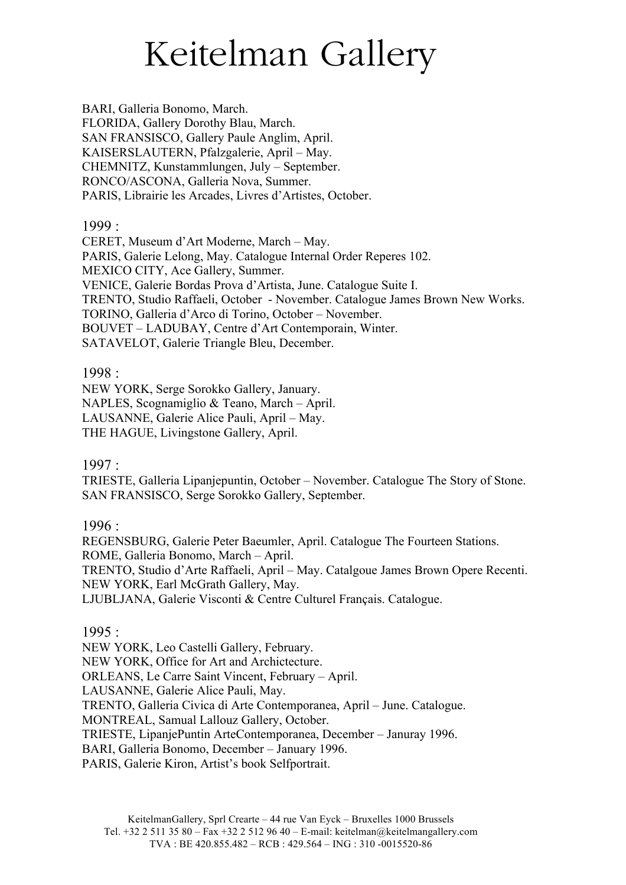BARI, Galleria Bonomo, March. FLORIDA, Gallery Dorothy Blau, March. SAN FRANSISCO, Gallery Paule Anglim, April. KAISERSLAUTERN, Pfalzgalerie, April – May. CHEMNITZ, Kunstammlungen, July – September. RONCO/ASCONA, Galleria Nova, Summer. PARIS, Librairie les Arcades, Livres d'Artistes, October.

1999 :

CERET, Museum d'Art Moderne, March – May. PARIS, Galerie Lelong, May. Catalogue Internal Order Reperes 102. MEXICO CITY, Ace Gallery, Summer. VENICE, Galerie Bordas Prova d'Artista, June. Catalogue Suite I. TRENTO, Studio Raffaeli, October - November. Catalogue James Brown New Works. TORINO, Galleria d'Arco di Torino, October – November. BOUVET – LADUBAY, Centre d'Art Contemporain, Winter. SATAVELOT, Galerie Triangle Bleu, December.

### 1998 :

NEW YORK, Serge Sorokko Gallery, January. NAPLES, Scognamiglio & Teano, March – April. LAUSANNE, Galerie Alice Pauli, April – May. THE HAGUE, Livingstone Gallery, April.

### 1997 :

TRIESTE, Galleria Lipanjepuntin, October – November. Catalogue The Story of Stone. SAN FRANSISCO, Serge Sorokko Gallery, September.

1996 :

REGENSBURG, Galerie Peter Baeumler, April. Catalogue The Fourteen Stations. ROME, Galleria Bonomo, March – April. TRENTO, Studio d'Arte Raffaeli, April – May. Catalgoue James Brown Opere Recenti. NEW YORK, Earl McGrath Gallery, May. LJUBLJANA, Galerie Visconti & Centre Culturel Français. Catalogue.

### 1995 :

NEW YORK, Leo Castelli Gallery, February. NEW YORK, Office for Art and Archictecture. ORLEANS, Le Carre Saint Vincent, February – April. LAUSANNE, Galerie Alice Pauli, May. TRENTO, Galleria Civica di Arte Contemporanea, April – June. Catalogue. MONTREAL, Samual Lallouz Gallery, October. TRIESTE, LipanjePuntin ArteContemporanea, December – Januray 1996. BARI, Galleria Bonomo, December – January 1996. PARIS, Galerie Kiron, Artist's book Selfportrait.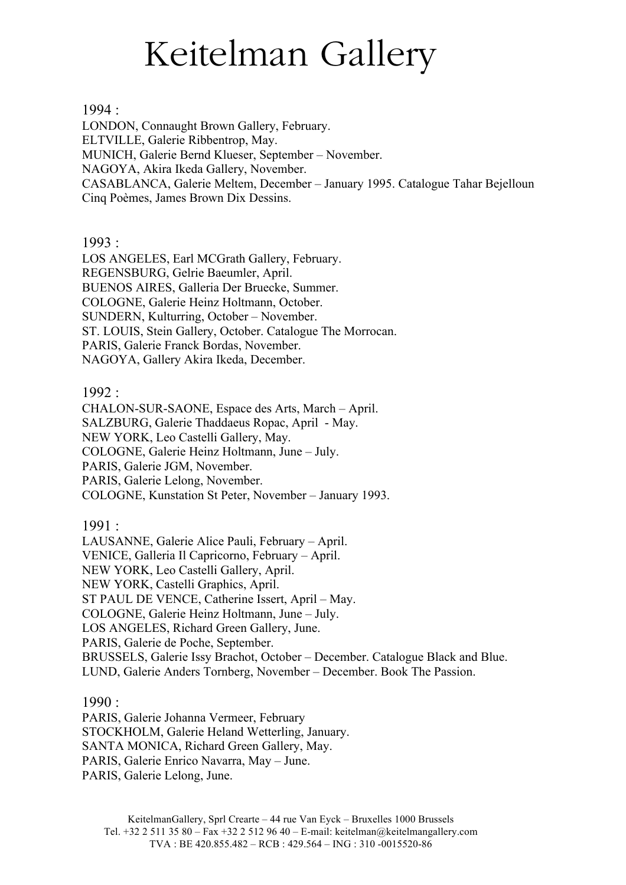1994 :

LONDON, Connaught Brown Gallery, February. ELTVILLE, Galerie Ribbentrop, May. MUNICH, Galerie Bernd Klueser, September – November. NAGOYA, Akira Ikeda Gallery, November. CASABLANCA, Galerie Meltem, December – January 1995. Catalogue Tahar Bejelloun Cinq Poèmes, James Brown Dix Dessins.

1993 :

LOS ANGELES, Earl MCGrath Gallery, February. REGENSBURG, Gelrie Baeumler, April. BUENOS AIRES, Galleria Der Bruecke, Summer. COLOGNE, Galerie Heinz Holtmann, October. SUNDERN, Kulturring, October – November. ST. LOUIS, Stein Gallery, October. Catalogue The Morrocan. PARIS, Galerie Franck Bordas, November. NAGOYA, Gallery Akira Ikeda, December.

1992 :

CHALON-SUR-SAONE, Espace des Arts, March – April. SALZBURG, Galerie Thaddaeus Ropac, April - May. NEW YORK, Leo Castelli Gallery, May. COLOGNE, Galerie Heinz Holtmann, June – July. PARIS, Galerie JGM, November. PARIS, Galerie Lelong, November. COLOGNE, Kunstation St Peter, November – January 1993.

1991 :

LAUSANNE, Galerie Alice Pauli, February – April. VENICE, Galleria Il Capricorno, February – April. NEW YORK, Leo Castelli Gallery, April. NEW YORK, Castelli Graphics, April. ST PAUL DE VENCE, Catherine Issert, April – May. COLOGNE, Galerie Heinz Holtmann, June – July. LOS ANGELES, Richard Green Gallery, June. PARIS, Galerie de Poche, September. BRUSSELS, Galerie Issy Brachot, October – December. Catalogue Black and Blue. LUND, Galerie Anders Tornberg, November – December. Book The Passion.

1990 :

PARIS, Galerie Johanna Vermeer, February STOCKHOLM, Galerie Heland Wetterling, January. SANTA MONICA, Richard Green Gallery, May. PARIS, Galerie Enrico Navarra, May – June. PARIS, Galerie Lelong, June.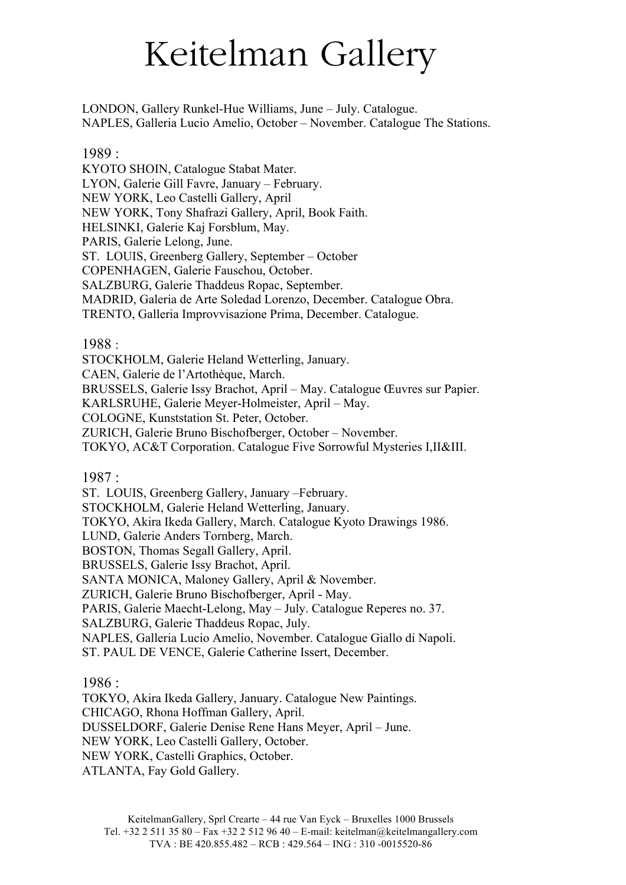LONDON, Gallery Runkel-Hue Williams, June – July. Catalogue. NAPLES, Galleria Lucio Amelio, October – November. Catalogue The Stations.

1989 :

KYOTO SHOIN, Catalogue Stabat Mater. LYON, Galerie Gill Favre, January – February. NEW YORK, Leo Castelli Gallery, April NEW YORK, Tony Shafrazi Gallery, April, Book Faith. HELSINKI, Galerie Kaj Forsblum, May. PARIS, Galerie Lelong, June. ST. LOUIS, Greenberg Gallery, September – October COPENHAGEN, Galerie Fauschou, October. SALZBURG, Galerie Thaddeus Ropac, September. MADRID, Galeria de Arte Soledad Lorenzo, December. Catalogue Obra. TRENTO, Galleria Improvvisazione Prima, December. Catalogue.

1988 :

STOCKHOLM, Galerie Heland Wetterling, January.

CAEN, Galerie de l'Artothèque, March.

BRUSSELS, Galerie Issy Brachot, April – May. Catalogue Œuvres sur Papier.

KARLSRUHE, Galerie Meyer-Holmeister, April – May.

COLOGNE, Kunststation St. Peter, October.

ZURICH, Galerie Bruno Bischofberger, October – November.

TOKYO, AC&T Corporation. Catalogue Five Sorrowful Mysteries I,II&III.

1987 :

ST. LOUIS, Greenberg Gallery, January –February. STOCKHOLM, Galerie Heland Wetterling, January. TOKYO, Akira Ikeda Gallery, March. Catalogue Kyoto Drawings 1986. LUND, Galerie Anders Tornberg, March. BOSTON, Thomas Segall Gallery, April. BRUSSELS, Galerie Issy Brachot, April. SANTA MONICA, Maloney Gallery, April & November. ZURICH, Galerie Bruno Bischofberger, April - May. PARIS, Galerie Maecht-Lelong, May – July. Catalogue Reperes no. 37. SALZBURG, Galerie Thaddeus Ropac, July. NAPLES, Galleria Lucio Amelio, November. Catalogue Giallo di Napoli. ST. PAUL DE VENCE, Galerie Catherine Issert, December.

1986 :

TOKYO, Akira Ikeda Gallery, January. Catalogue New Paintings. CHICAGO, Rhona Hoffman Gallery, April. DUSSELDORF, Galerie Denise Rene Hans Meyer, April – June. NEW YORK, Leo Castelli Gallery, October. NEW YORK, Castelli Graphics, October. ATLANTA, Fay Gold Gallery.